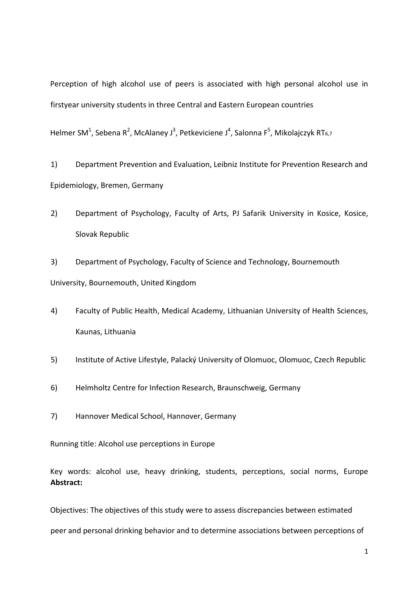Perception of high alcohol use of peers is associated with high personal alcohol use in firstyear university students in three Central and Eastern European countries

Helmer SM<sup>1</sup>, Sebena R<sup>2</sup>, McAlaney J<sup>3</sup>, Petkeviciene J<sup>4</sup>, Salonna F<sup>5</sup>, Mikolajczyk RT<sub>6,7</sub>

1) Department Prevention and Evaluation, Leibniz Institute for Prevention Research and Epidemiology, Bremen, Germany

2) Department of Psychology, Faculty of Arts, PJ Safarik University in Kosice, Kosice, Slovak Republic

3) Department of Psychology, Faculty of Science and Technology, Bournemouth University, Bournemouth, United Kingdom

- 4) Faculty of Public Health, Medical Academy, Lithuanian University of Health Sciences, Kaunas, Lithuania
- 5) Institute of Active Lifestyle, Palacký University of Olomuoc, Olomuoc, Czech Republic
- 6) Helmholtz Centre for Infection Research, Braunschweig, Germany
- 7) Hannover Medical School, Hannover, Germany

Running title: Alcohol use perceptions in Europe

Key words: alcohol use, heavy drinking, students, perceptions, social norms, Europe **Abstract:** 

Objectives: The objectives of this study were to assess discrepancies between estimated peer and personal drinking behavior and to determine associations between perceptions of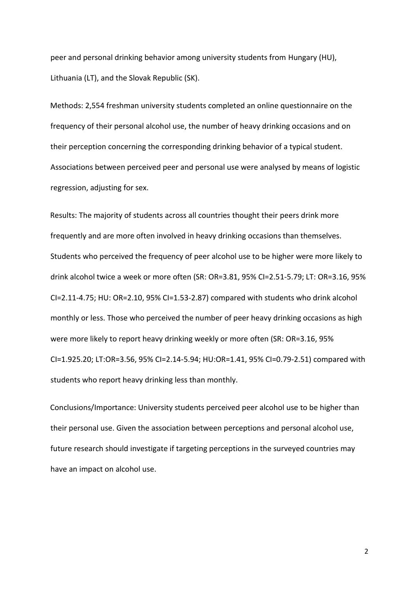peer and personal drinking behavior among university students from Hungary (HU), Lithuania (LT), and the Slovak Republic (SK).

Methods: 2,554 freshman university students completed an online questionnaire on the frequency of their personal alcohol use, the number of heavy drinking occasions and on their perception concerning the corresponding drinking behavior of a typical student. Associations between perceived peer and personal use were analysed by means of logistic regression, adjusting for sex.

Results: The majority of students across all countries thought their peers drink more frequently and are more often involved in heavy drinking occasions than themselves. Students who perceived the frequency of peer alcohol use to be higher were more likely to drink alcohol twice a week or more often (SR: OR=3.81, 95% CI=2.51-5.79; LT: OR=3.16, 95% CI=2.11-4.75; HU: OR=2.10, 95% CI=1.53-2.87) compared with students who drink alcohol monthly or less. Those who perceived the number of peer heavy drinking occasions as high were more likely to report heavy drinking weekly or more often (SR: OR=3.16, 95% CI=1.925.20; LT:OR=3.56, 95% CI=2.14-5.94; HU:OR=1.41, 95% CI=0.79-2.51) compared with students who report heavy drinking less than monthly.

Conclusions/Importance: University students perceived peer alcohol use to be higher than their personal use. Given the association between perceptions and personal alcohol use, future research should investigate if targeting perceptions in the surveyed countries may have an impact on alcohol use.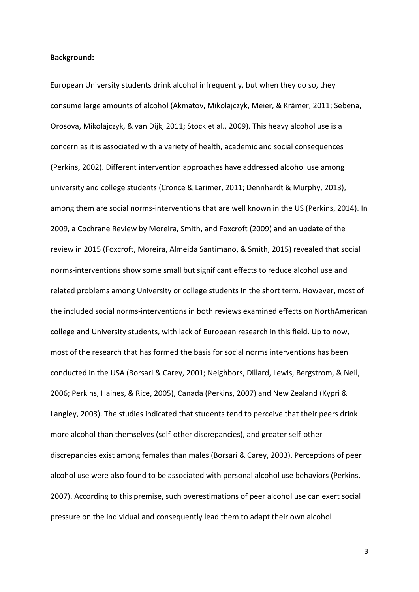# **Background:**

European University students drink alcohol infrequently, but when they do so, they consume large amounts of alcohol (Akmatov, Mikolajczyk, Meier, & Krämer, 2011; Sebena, Orosova, Mikolajczyk, & van Dijk, 2011; Stock et al., 2009). This heavy alcohol use is a concern as it is associated with a variety of health, academic and social consequences (Perkins, 2002). Different intervention approaches have addressed alcohol use among university and college students (Cronce & Larimer, 2011; Dennhardt & Murphy, 2013), among them are social norms-interventions that are well known in the US (Perkins, 2014). In 2009, a Cochrane Review by Moreira, Smith, and Foxcroft (2009) and an update of the review in 2015 (Foxcroft, Moreira, Almeida Santimano, & Smith, 2015) revealed that social norms-interventions show some small but significant effects to reduce alcohol use and related problems among University or college students in the short term. However, most of the included social norms-interventions in both reviews examined effects on NorthAmerican college and University students, with lack of European research in this field. Up to now, most of the research that has formed the basis for social norms interventions has been conducted in the USA (Borsari & Carey, 2001; Neighbors, Dillard, Lewis, Bergstrom, & Neil, 2006; Perkins, Haines, & Rice, 2005), Canada (Perkins, 2007) and New Zealand (Kypri & Langley, 2003). The studies indicated that students tend to perceive that their peers drink more alcohol than themselves (self-other discrepancies), and greater self-other discrepancies exist among females than males (Borsari & Carey, 2003). Perceptions of peer alcohol use were also found to be associated with personal alcohol use behaviors (Perkins, 2007). According to this premise, such overestimations of peer alcohol use can exert social pressure on the individual and consequently lead them to adapt their own alcohol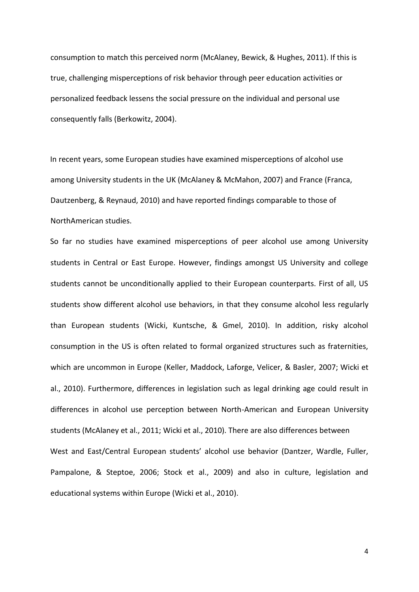consumption to match this perceived norm (McAlaney, Bewick, & Hughes, 2011). If this is true, challenging misperceptions of risk behavior through peer education activities or personalized feedback lessens the social pressure on the individual and personal use consequently falls (Berkowitz, 2004).

In recent years, some European studies have examined misperceptions of alcohol use among University students in the UK (McAlaney & McMahon, 2007) and France (Franca, Dautzenberg, & Reynaud, 2010) and have reported findings comparable to those of NorthAmerican studies.

So far no studies have examined misperceptions of peer alcohol use among University students in Central or East Europe. However, findings amongst US University and college students cannot be unconditionally applied to their European counterparts. First of all, US students show different alcohol use behaviors, in that they consume alcohol less regularly than European students (Wicki, Kuntsche, & Gmel, 2010). In addition, risky alcohol consumption in the US is often related to formal organized structures such as fraternities, which are uncommon in Europe (Keller, Maddock, Laforge, Velicer, & Basler, 2007; Wicki et al., 2010). Furthermore, differences in legislation such as legal drinking age could result in differences in alcohol use perception between North-American and European University students (McAlaney et al., 2011; Wicki et al., 2010). There are also differences between West and East/Central European students' alcohol use behavior (Dantzer, Wardle, Fuller, Pampalone, & Steptoe, 2006; Stock et al., 2009) and also in culture, legislation and educational systems within Europe (Wicki et al., 2010).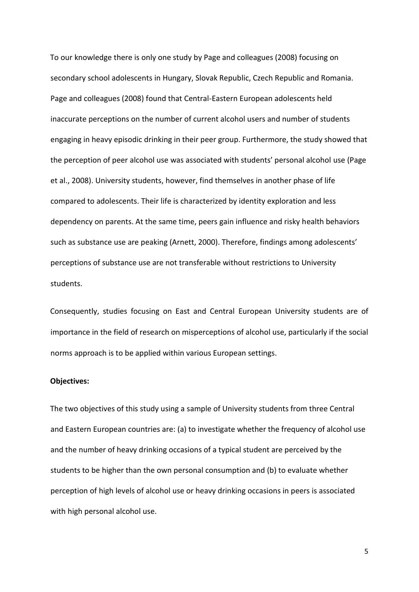To our knowledge there is only one study by Page and colleagues (2008) focusing on secondary school adolescents in Hungary, Slovak Republic, Czech Republic and Romania. Page and colleagues (2008) found that Central-Eastern European adolescents held inaccurate perceptions on the number of current alcohol users and number of students engaging in heavy episodic drinking in their peer group. Furthermore, the study showed that the perception of peer alcohol use was associated with students' personal alcohol use (Page et al., 2008). University students, however, find themselves in another phase of life compared to adolescents. Their life is characterized by identity exploration and less dependency on parents. At the same time, peers gain influence and risky health behaviors such as substance use are peaking (Arnett, 2000). Therefore, findings among adolescents' perceptions of substance use are not transferable without restrictions to University students.

Consequently, studies focusing on East and Central European University students are of importance in the field of research on misperceptions of alcohol use, particularly if the social norms approach is to be applied within various European settings.

# **Objectives:**

The two objectives of this study using a sample of University students from three Central and Eastern European countries are: (a) to investigate whether the frequency of alcohol use and the number of heavy drinking occasions of a typical student are perceived by the students to be higher than the own personal consumption and (b) to evaluate whether perception of high levels of alcohol use or heavy drinking occasions in peers is associated with high personal alcohol use.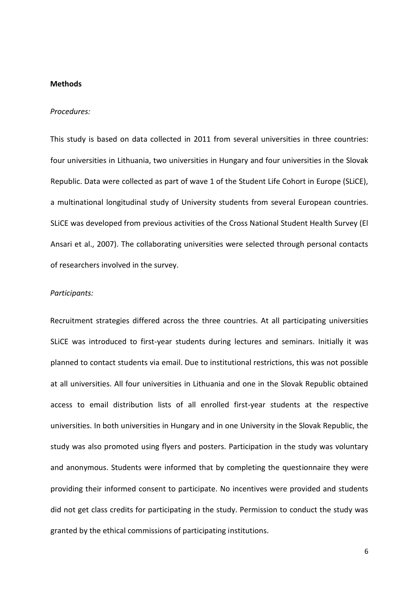#### **Methods**

### *Procedures:*

This study is based on data collected in 2011 from several universities in three countries: four universities in Lithuania, two universities in Hungary and four universities in the Slovak Republic. Data were collected as part of wave 1 of the Student Life Cohort in Europe (SLiCE), a multinational longitudinal study of University students from several European countries. SLiCE was developed from previous activities of the Cross National Student Health Survey (El Ansari et al., 2007). The collaborating universities were selected through personal contacts of researchers involved in the survey.

#### *Participants:*

Recruitment strategies differed across the three countries. At all participating universities SLiCE was introduced to first-year students during lectures and seminars. Initially it was planned to contact students via email. Due to institutional restrictions, this was not possible at all universities. All four universities in Lithuania and one in the Slovak Republic obtained access to email distribution lists of all enrolled first-year students at the respective universities. In both universities in Hungary and in one University in the Slovak Republic, the study was also promoted using flyers and posters. Participation in the study was voluntary and anonymous. Students were informed that by completing the questionnaire they were providing their informed consent to participate. No incentives were provided and students did not get class credits for participating in the study. Permission to conduct the study was granted by the ethical commissions of participating institutions.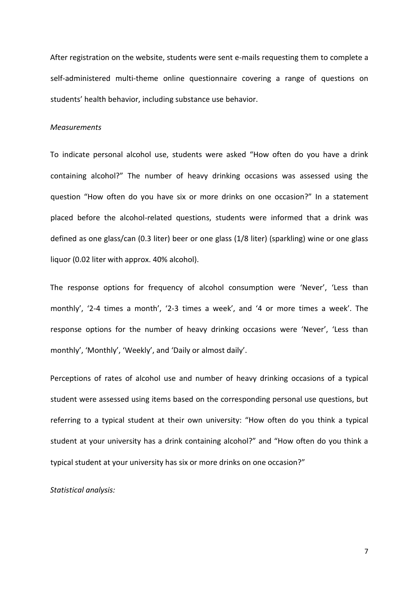After registration on the website, students were sent e-mails requesting them to complete a self-administered multi-theme online questionnaire covering a range of questions on students' health behavior, including substance use behavior.

# *Measurements*

To indicate personal alcohol use, students were asked "How often do you have a drink containing alcohol?" The number of heavy drinking occasions was assessed using the question "How often do you have six or more drinks on one occasion?" In a statement placed before the alcohol-related questions, students were informed that a drink was defined as one glass/can (0.3 liter) beer or one glass (1/8 liter) (sparkling) wine or one glass liquor (0.02 liter with approx. 40% alcohol).

The response options for frequency of alcohol consumption were 'Never', 'Less than monthly', '2-4 times a month', '2-3 times a week', and '4 or more times a week'. The response options for the number of heavy drinking occasions were 'Never', 'Less than monthly', 'Monthly', 'Weekly', and 'Daily or almost daily'.

Perceptions of rates of alcohol use and number of heavy drinking occasions of a typical student were assessed using items based on the corresponding personal use questions, but referring to a typical student at their own university: "How often do you think a typical student at your university has a drink containing alcohol?" and "How often do you think a typical student at your university has six or more drinks on one occasion?"

*Statistical analysis:*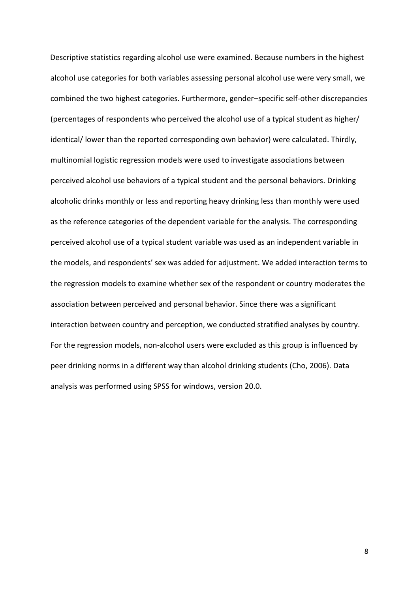Descriptive statistics regarding alcohol use were examined. Because numbers in the highest alcohol use categories for both variables assessing personal alcohol use were very small, we combined the two highest categories. Furthermore, gender–specific self-other discrepancies (percentages of respondents who perceived the alcohol use of a typical student as higher/ identical/ lower than the reported corresponding own behavior) were calculated. Thirdly, multinomial logistic regression models were used to investigate associations between perceived alcohol use behaviors of a typical student and the personal behaviors. Drinking alcoholic drinks monthly or less and reporting heavy drinking less than monthly were used as the reference categories of the dependent variable for the analysis. The corresponding perceived alcohol use of a typical student variable was used as an independent variable in the models, and respondents' sex was added for adjustment. We added interaction terms to the regression models to examine whether sex of the respondent or country moderates the association between perceived and personal behavior. Since there was a significant interaction between country and perception, we conducted stratified analyses by country. For the regression models, non-alcohol users were excluded as this group is influenced by peer drinking norms in a different way than alcohol drinking students (Cho, 2006). Data analysis was performed using SPSS for windows, version 20.0.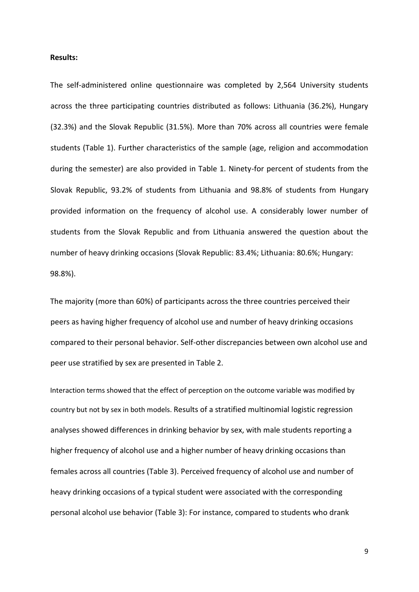### **Results:**

The self-administered online questionnaire was completed by 2,564 University students across the three participating countries distributed as follows: Lithuania (36.2%), Hungary (32.3%) and the Slovak Republic (31.5%). More than 70% across all countries were female students (Table 1). Further characteristics of the sample (age, religion and accommodation during the semester) are also provided in Table 1. Ninety-for percent of students from the Slovak Republic, 93.2% of students from Lithuania and 98.8% of students from Hungary provided information on the frequency of alcohol use. A considerably lower number of students from the Slovak Republic and from Lithuania answered the question about the number of heavy drinking occasions (Slovak Republic: 83.4%; Lithuania: 80.6%; Hungary: 98.8%).

The majority (more than 60%) of participants across the three countries perceived their peers as having higher frequency of alcohol use and number of heavy drinking occasions compared to their personal behavior. Self-other discrepancies between own alcohol use and peer use stratified by sex are presented in Table 2.

Interaction terms showed that the effect of perception on the outcome variable was modified by country but not by sex in both models. Results of a stratified multinomial logistic regression analyses showed differences in drinking behavior by sex, with male students reporting a higher frequency of alcohol use and a higher number of heavy drinking occasions than females across all countries (Table 3). Perceived frequency of alcohol use and number of heavy drinking occasions of a typical student were associated with the corresponding personal alcohol use behavior (Table 3): For instance, compared to students who drank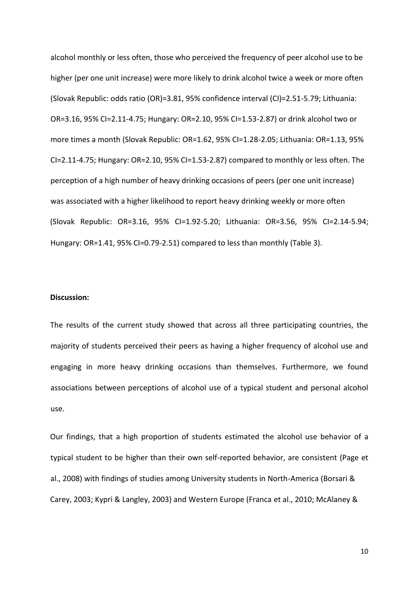alcohol monthly or less often, those who perceived the frequency of peer alcohol use to be higher (per one unit increase) were more likely to drink alcohol twice a week or more often (Slovak Republic: odds ratio (OR)=3.81, 95% confidence interval (CI)=2.51-5.79; Lithuania: OR=3.16, 95% CI=2.11-4.75; Hungary: OR=2.10, 95% CI=1.53-2.87) or drink alcohol two or more times a month (Slovak Republic: OR=1.62, 95% CI=1.28-2.05; Lithuania: OR=1.13, 95% CI=2.11-4.75; Hungary: OR=2.10, 95% CI=1.53-2.87) compared to monthly or less often. The perception of a high number of heavy drinking occasions of peers (per one unit increase) was associated with a higher likelihood to report heavy drinking weekly or more often (Slovak Republic: OR=3.16, 95% CI=1.92-5.20; Lithuania: OR=3.56, 95% CI=2.14-5.94; Hungary: OR=1.41, 95% CI=0.79-2.51) compared to less than monthly (Table 3).

#### **Discussion:**

The results of the current study showed that across all three participating countries, the majority of students perceived their peers as having a higher frequency of alcohol use and engaging in more heavy drinking occasions than themselves. Furthermore, we found associations between perceptions of alcohol use of a typical student and personal alcohol use.

Our findings, that a high proportion of students estimated the alcohol use behavior of a typical student to be higher than their own self-reported behavior, are consistent (Page et al., 2008) with findings of studies among University students in North-America (Borsari & Carey, 2003; Kypri & Langley, 2003) and Western Europe (Franca et al., 2010; McAlaney &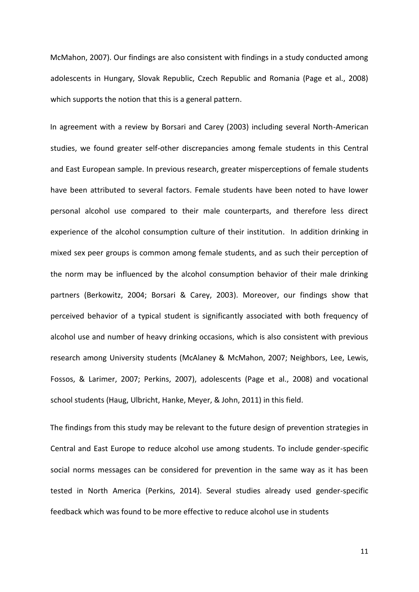McMahon, 2007). Our findings are also consistent with findings in a study conducted among adolescents in Hungary, Slovak Republic, Czech Republic and Romania (Page et al., 2008) which supports the notion that this is a general pattern.

In agreement with a review by Borsari and Carey (2003) including several North-American studies, we found greater self-other discrepancies among female students in this Central and East European sample. In previous research, greater misperceptions of female students have been attributed to several factors. Female students have been noted to have lower personal alcohol use compared to their male counterparts, and therefore less direct experience of the alcohol consumption culture of their institution. In addition drinking in mixed sex peer groups is common among female students, and as such their perception of the norm may be influenced by the alcohol consumption behavior of their male drinking partners (Berkowitz, 2004; Borsari & Carey, 2003). Moreover, our findings show that perceived behavior of a typical student is significantly associated with both frequency of alcohol use and number of heavy drinking occasions, which is also consistent with previous research among University students (McAlaney & McMahon, 2007; Neighbors, Lee, Lewis, Fossos, & Larimer, 2007; Perkins, 2007), adolescents (Page et al., 2008) and vocational school students (Haug, Ulbricht, Hanke, Meyer, & John, 2011) in this field.

The findings from this study may be relevant to the future design of prevention strategies in Central and East Europe to reduce alcohol use among students. To include gender-specific social norms messages can be considered for prevention in the same way as it has been tested in North America (Perkins, 2014). Several studies already used gender-specific feedback which was found to be more effective to reduce alcohol use in students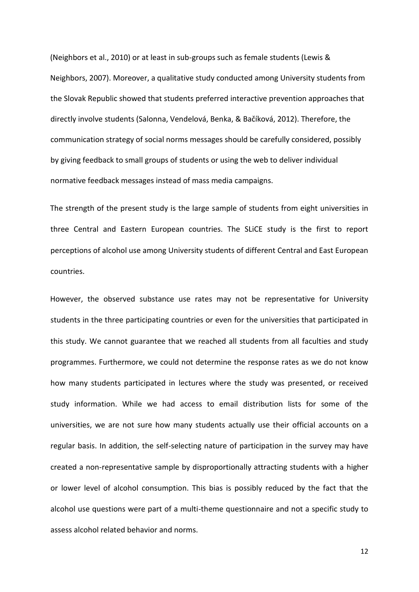(Neighbors et al., 2010) or at least in sub-groups such as female students (Lewis & Neighbors, 2007). Moreover, a qualitative study conducted among University students from the Slovak Republic showed that students preferred interactive prevention approaches that directly involve students (Salonna, Vendelová, Benka, & Bačíková, 2012). Therefore, the communication strategy of social norms messages should be carefully considered, possibly by giving feedback to small groups of students or using the web to deliver individual normative feedback messages instead of mass media campaigns.

The strength of the present study is the large sample of students from eight universities in three Central and Eastern European countries. The SLiCE study is the first to report perceptions of alcohol use among University students of different Central and East European countries.

However, the observed substance use rates may not be representative for University students in the three participating countries or even for the universities that participated in this study. We cannot guarantee that we reached all students from all faculties and study programmes. Furthermore, we could not determine the response rates as we do not know how many students participated in lectures where the study was presented, or received study information. While we had access to email distribution lists for some of the universities, we are not sure how many students actually use their official accounts on a regular basis. In addition, the self-selecting nature of participation in the survey may have created a non-representative sample by disproportionally attracting students with a higher or lower level of alcohol consumption. This bias is possibly reduced by the fact that the alcohol use questions were part of a multi-theme questionnaire and not a specific study to assess alcohol related behavior and norms.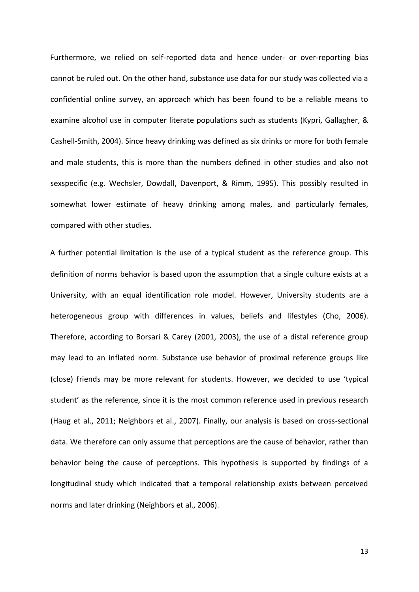Furthermore, we relied on self-reported data and hence under- or over-reporting bias cannot be ruled out. On the other hand, substance use data for our study was collected via a confidential online survey, an approach which has been found to be a reliable means to examine alcohol use in computer literate populations such as students (Kypri, Gallagher, & Cashell-Smith, 2004). Since heavy drinking was defined as six drinks or more for both female and male students, this is more than the numbers defined in other studies and also not sexspecific (e.g. Wechsler, Dowdall, Davenport, & Rimm, 1995). This possibly resulted in somewhat lower estimate of heavy drinking among males, and particularly females, compared with other studies.

A further potential limitation is the use of a typical student as the reference group. This definition of norms behavior is based upon the assumption that a single culture exists at a University, with an equal identification role model. However, University students are a heterogeneous group with differences in values, beliefs and lifestyles (Cho, 2006). Therefore, according to Borsari & Carey (2001, 2003), the use of a distal reference group may lead to an inflated norm. Substance use behavior of proximal reference groups like (close) friends may be more relevant for students. However, we decided to use 'typical student' as the reference, since it is the most common reference used in previous research (Haug et al., 2011; Neighbors et al., 2007). Finally, our analysis is based on cross-sectional data. We therefore can only assume that perceptions are the cause of behavior, rather than behavior being the cause of perceptions. This hypothesis is supported by findings of a longitudinal study which indicated that a temporal relationship exists between perceived norms and later drinking (Neighbors et al., 2006).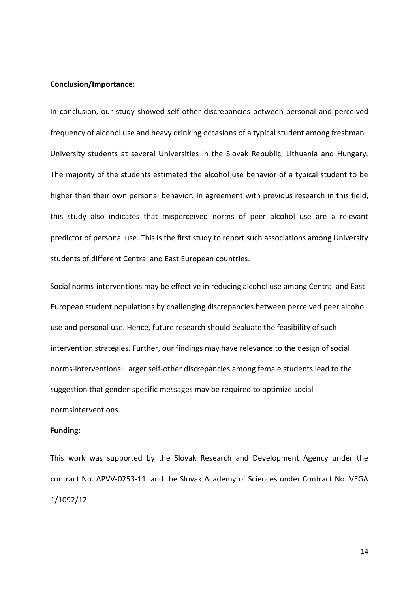# **Conclusion/Importance:**

In conclusion, our study showed self-other discrepancies between personal and perceived frequency of alcohol use and heavy drinking occasions of a typical student among freshman University students at several Universities in the Slovak Republic, Lithuania and Hungary. The majority of the students estimated the alcohol use behavior of a typical student to be higher than their own personal behavior. In agreement with previous research in this field, this study also indicates that misperceived norms of peer alcohol use are a relevant predictor of personal use. This is the first study to report such associations among University students of different Central and East European countries.

Social norms-interventions may be effective in reducing alcohol use among Central and East European student populations by challenging discrepancies between perceived peer alcohol use and personal use. Hence, future research should evaluate the feasibility of such intervention strategies. Further, our findings may have relevance to the design of social norms-interventions: Larger self-other discrepancies among female students lead to the suggestion that gender-specific messages may be required to optimize social normsinterventions.

### **Funding:**

This work was supported by the Slovak Research and Development Agency under the contract No. APVV-0253-11. and the Slovak Academy of Sciences under Contract No. VEGA 1/1092/12.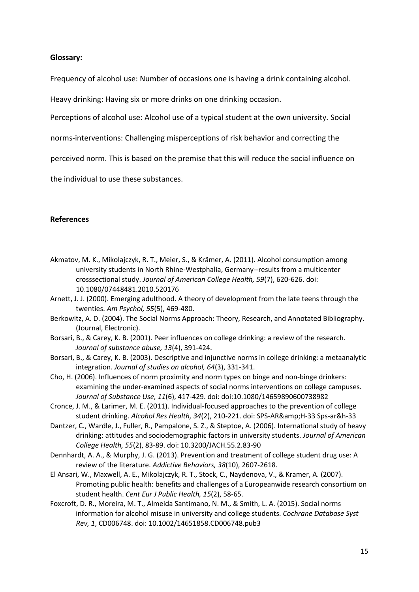# **Glossary:**

Frequency of alcohol use: Number of occasions one is having a drink containing alcohol.

Heavy drinking: Having six or more drinks on one drinking occasion.

Perceptions of alcohol use: Alcohol use of a typical student at the own university. Social

norms-interventions: Challenging misperceptions of risk behavior and correcting the

perceived norm. This is based on the premise that this will reduce the social influence on

the individual to use these substances.

# **References**

- Akmatov, M. K., Mikolajczyk, R. T., Meier, S., & Krämer, A. (2011). Alcohol consumption among university students in North Rhine-Westphalia, Germany--results from a multicenter crosssectional study. *Journal of American College Health, 59*(7), 620-626. doi: 10.1080/07448481.2010.520176
- Arnett, J. J. (2000). Emerging adulthood. A theory of development from the late teens through the twenties. *Am Psychol, 55*(5), 469-480.
- Berkowitz, A. D. (2004). The Social Norms Approach: Theory, Research, and Annotated Bibliography. (Journal, Electronic).
- Borsari, B., & Carey, K. B. (2001). Peer influences on college drinking: a review of the research. *Journal of substance abuse, 13*(4), 391-424.
- Borsari, B., & Carey, K. B. (2003). Descriptive and injunctive norms in college drinking: a metaanalytic integration. *Journal of studies on alcohol, 64*(3), 331-341.
- Cho, H. (2006). Influences of norm proximity and norm types on binge and non‐binge drinkers: examining the under‐examined aspects of social norms interventions on college campuses. *Journal of Substance Use, 11*(6), 417-429. doi: doi:10.1080/14659890600738982
- Cronce, J. M., & Larimer, M. E. (2011). Individual-focused approaches to the prevention of college student drinking. Alcohol Res Health, 34(2), 210-221. doi: SPS-AR&H-33 Sps-ar&h-33
- Dantzer, C., Wardle, J., Fuller, R., Pampalone, S. Z., & Steptoe, A. (2006). International study of heavy drinking: attitudes and sociodemographic factors in university students. *Journal of American College Health, 55*(2), 83-89. doi: 10.3200/JACH.55.2.83-90
- Dennhardt, A. A., & Murphy, J. G. (2013). Prevention and treatment of college student drug use: A review of the literature. *Addictive Behaviors, 38*(10), 2607-2618.
- El Ansari, W., Maxwell, A. E., Mikolajczyk, R. T., Stock, C., Naydenova, V., & Kramer, A. (2007). Promoting public health: benefits and challenges of a Europeanwide research consortium on student health. *Cent Eur J Public Health, 15*(2), 58-65.
- Foxcroft, D. R., Moreira, M. T., Almeida Santimano, N. M., & Smith, L. A. (2015). Social norms information for alcohol misuse in university and college students. *Cochrane Database Syst Rev, 1*, CD006748. doi: 10.1002/14651858.CD006748.pub3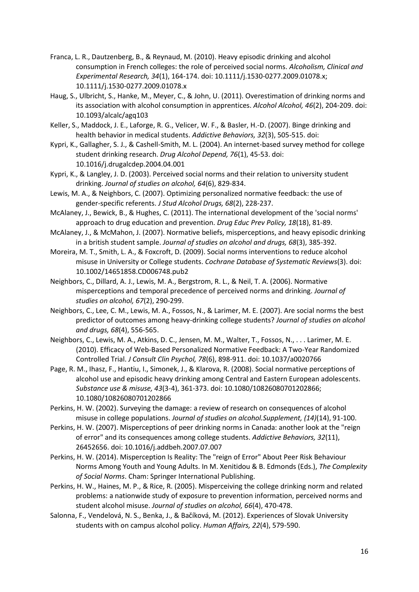- Franca, L. R., Dautzenberg, B., & Reynaud, M. (2010). Heavy episodic drinking and alcohol consumption in French colleges: the role of perceived social norms. *Alcoholism, Clinical and Experimental Research, 34*(1), 164-174. doi: 10.1111/j.1530-0277.2009.01078.x; 10.1111/j.1530-0277.2009.01078.x
- Haug, S., Ulbricht, S., Hanke, M., Meyer, C., & John, U. (2011). Overestimation of drinking norms and its association with alcohol consumption in apprentices. *Alcohol Alcohol, 46*(2), 204-209. doi: 10.1093/alcalc/agq103
- Keller, S., Maddock, J. E., Laforge, R. G., Velicer, W. F., & Basler, H.-D. (2007). Binge drinking and health behavior in medical students. *Addictive Behaviors, 32*(3), 505-515. doi:
- Kypri, K., Gallagher, S. J., & Cashell-Smith, M. L. (2004). An internet-based survey method for college student drinking research. *Drug Alcohol Depend, 76*(1), 45-53. doi: 10.1016/j.drugalcdep.2004.04.001
- Kypri, K., & Langley, J. D. (2003). Perceived social norms and their relation to university student drinking. *Journal of studies on alcohol, 64*(6), 829-834.
- Lewis, M. A., & Neighbors, C. (2007). Optimizing personalized normative feedback: the use of gender-specific referents. *J Stud Alcohol Drugs, 68*(2), 228-237.
- McAlaney, J., Bewick, B., & Hughes, C. (2011). The international development of the 'social norms' approach to drug education and prevention. *Drug Educ Prev Policy, 18*(18), 81-89.
- McAlaney, J., & McMahon, J. (2007). Normative beliefs, misperceptions, and heavy episodic drinking in a british student sample. *Journal of studies on alcohol and drugs, 68*(3), 385-392.
- Moreira, M. T., Smith, L. A., & Foxcroft, D. (2009). Social norms interventions to reduce alcohol misuse in University or College students. *Cochrane Database of Systematic Reviews*(3). doi: 10.1002/14651858.CD006748.pub2
- Neighbors, C., Dillard, A. J., Lewis, M. A., Bergstrom, R. L., & Neil, T. A. (2006). Normative misperceptions and temporal precedence of perceived norms and drinking. *Journal of studies on alcohol, 67*(2), 290-299.
- Neighbors, C., Lee, C. M., Lewis, M. A., Fossos, N., & Larimer, M. E. (2007). Are social norms the best predictor of outcomes among heavy-drinking college students? *Journal of studies on alcohol and drugs, 68*(4), 556-565.
- Neighbors, C., Lewis, M. A., Atkins, D. C., Jensen, M. M., Walter, T., Fossos, N., . . . Larimer, M. E. (2010). Efficacy of Web-Based Personalized Normative Feedback: A Two-Year Randomized Controlled Trial. *J Consult Clin Psychol, 78*(6), 898-911. doi: 10.1037/a0020766
- Page, R. M., Ihasz, F., Hantiu, I., Simonek, J., & Klarova, R. (2008). Social normative perceptions of alcohol use and episodic heavy drinking among Central and Eastern European adolescents. *Substance use & misuse, 43*(3-4), 361-373. doi: 10.1080/10826080701202866; 10.1080/10826080701202866
- Perkins, H. W. (2002). Surveying the damage: a review of research on consequences of alcohol misuse in college populations. *Journal of studies on alcohol.Supplement, (14)*(14), 91-100.
- Perkins, H. W. (2007). Misperceptions of peer drinking norms in Canada: another look at the "reign of error" and its consequences among college students. *Addictive Behaviors, 32*(11), 26452656. doi: 10.1016/j.addbeh.2007.07.007
- Perkins, H. W. (2014). Misperception Is Reality: The "reign of Error" About Peer Risk Behaviour Norms Among Youth and Young Adults. In M. Xenitidou & B. Edmonds (Eds.), *The Complexity of Social Norms*. Cham: Springer International Publishing.
- Perkins, H. W., Haines, M. P., & Rice, R. (2005). Misperceiving the college drinking norm and related problems: a nationwide study of exposure to prevention information, perceived norms and student alcohol misuse. *Journal of studies on alcohol, 66*(4), 470-478.
- Salonna, F., Vendelová, N. S., Benka, J., & Bačíková, M. (2012). Experiences of Slovak University students with on campus alcohol policy. *Human Affairs, 22*(4), 579-590.